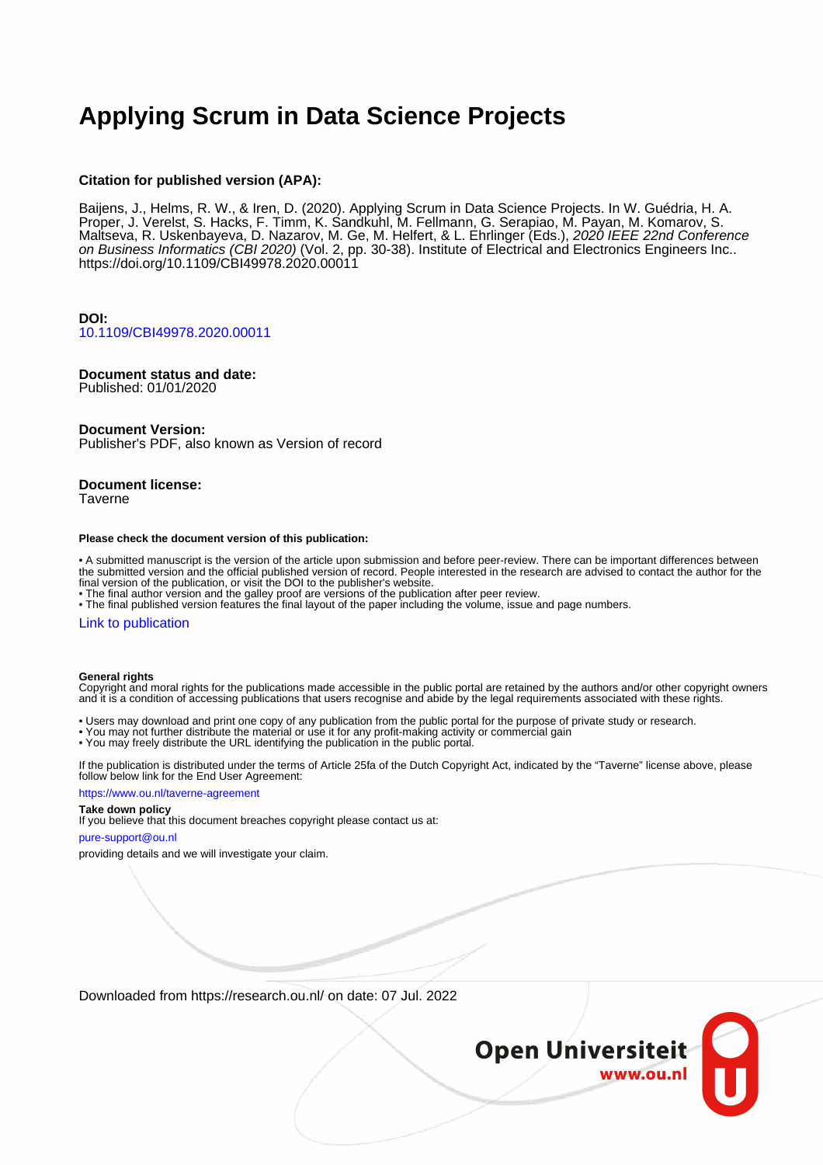# **Applying Scrum in Data Science Projects**

# **Citation for published version (APA):**

Baijens, J., Helms, R. W., & Iren, D. (2020). Applying Scrum in Data Science Projects. In W. Guédria, H. A. Proper, J. Verelst, S. Hacks, F. Timm, K. Sandkuhl, M. Fellmann, G. Serapiao, M. Payan, M. Komarov, S. Maltseva, R. Uskenbayeva, D. Nazarov, M. Ge, M. Helfert, & L. Ehrlinger (Eds.), 2*020 IEEE 22nd Conference* on Business Informatics (CBI 2020) (Vol. 2, pp. 30-38). Institute of Electrical and Electronics Engineers Inc.. <https://doi.org/10.1109/CBI49978.2020.00011>

# **DOI:** [10.1109/CBI49978.2020.00011](https://doi.org/10.1109/CBI49978.2020.00011)

# **Document status and date:**

Published: 01/01/2020

## **Document Version:**

Publisher's PDF, also known as Version of record

# **Document license:**

Taverne

#### **Please check the document version of this publication:**

• A submitted manuscript is the version of the article upon submission and before peer-review. There can be important differences between the submitted version and the official published version of record. People interested in the research are advised to contact the author for the final version of the publication, or visit the DOI to the publisher's website.

• The final author version and the galley proof are versions of the publication after peer review.

• The final published version features the final layout of the paper including the volume, issue and page numbers.

#### [Link to publication](https://research.ou.nl/en/publications/01ef61e1-fac7-4da6-a458-9059b918da93)

#### **General rights**

Copyright and moral rights for the publications made accessible in the public portal are retained by the authors and/or other copyright owners and it is a condition of accessing publications that users recognise and abide by the legal requirements associated with these rights.

- Users may download and print one copy of any publication from the public portal for the purpose of private study or research.
- You may not further distribute the material or use it for any profit-making activity or commercial gain
- You may freely distribute the URL identifying the publication in the public portal.

If the publication is distributed under the terms of Article 25fa of the Dutch Copyright Act, indicated by the "Taverne" license above, please follow below link for the End User Agreement:

#### https://www.ou.nl/taverne-agreement

# **Take down policy**

If you believe that this document breaches copyright please contact us at:

#### pure-support@ou.nl

providing details and we will investigate your claim.

Downloaded from https://research.ou.nl/ on date: 07 Jul. 2022

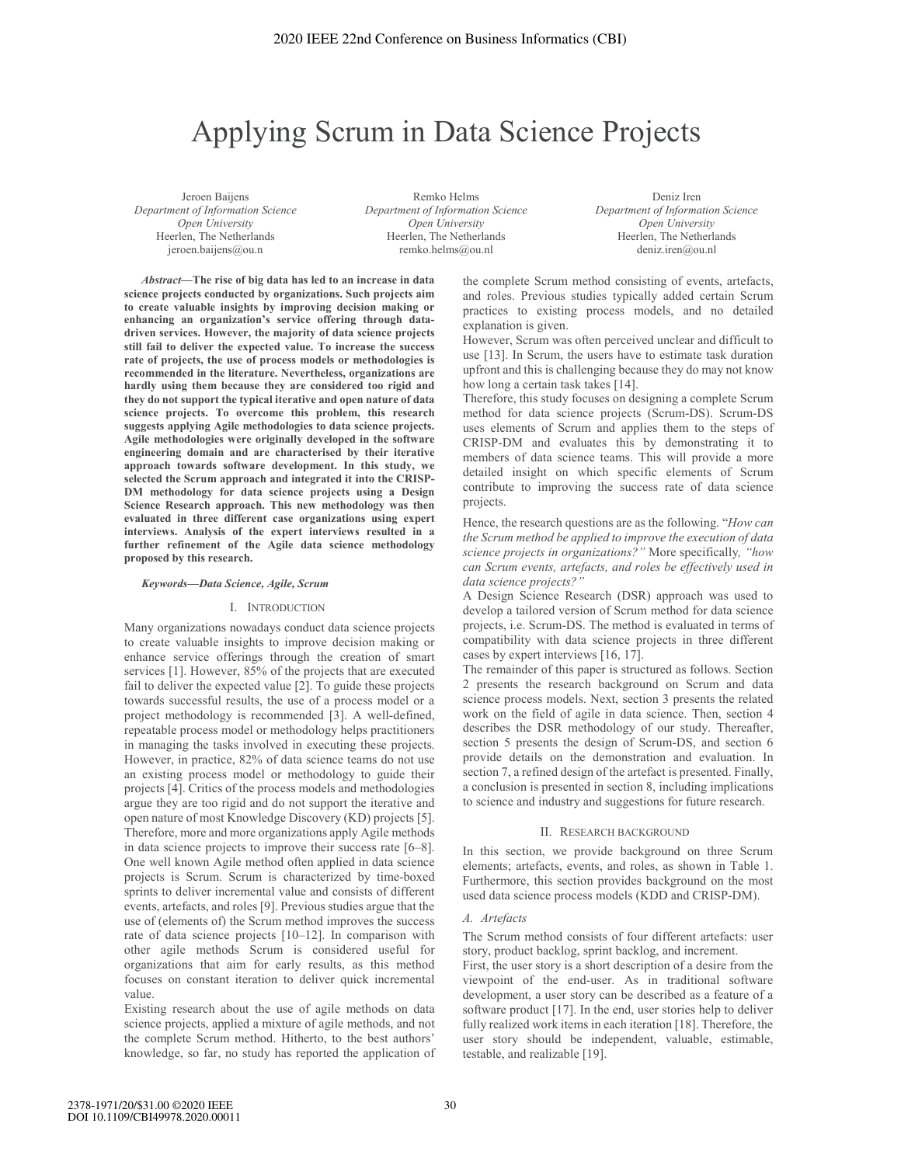# Applying Scrum in Data Science Projects

Jeroen Baijens *Department of Information Science Open University*  Heerlen, The Netherlands jeroen.baijens@ou.n

Remko Helms *Department of Information Science Open University*  Heerlen, The Netherlands remko.helms@ou.nl

Deniz Iren *Department of Information Science Open University*  Heerlen, The Netherlands deniz.iren@ou.nl

*Abstract***—The rise of big data has led to an increase in data science projects conducted by organizations. Such projects aim to create valuable insights by improving decision making or enhancing an organization's service offering through datadriven services. However, the majority of data science projects still fail to deliver the expected value. To increase the success rate of projects, the use of process models or methodologies is recommended in the literature. Nevertheless, organizations are hardly using them because they are considered too rigid and they do not support the typical iterative and open nature of data science projects. To overcome this problem, this research suggests applying Agile methodologies to data science projects. Agile methodologies were originally developed in the software engineering domain and are characterised by their iterative approach towards software development. In this study, we selected the Scrum approach and integrated it into the CRISP-DM methodology for data science projects using a Design Science Research approach. This new methodology was then evaluated in three different case organizations using expert interviews. Analysis of the expert interviews resulted in a further refinement of the Agile data science methodology proposed by this research.** 

#### *Keywords—Data Science, Agile, Scrum*

#### I. INTRODUCTION

Many organizations nowadays conduct data science projects to create valuable insights to improve decision making or enhance service offerings through the creation of smart services [1]. However, 85% of the projects that are executed fail to deliver the expected value [2]. To guide these projects towards successful results, the use of a process model or a project methodology is recommended [3]. A well-defined, repeatable process model or methodology helps practitioners in managing the tasks involved in executing these projects. However, in practice, 82% of data science teams do not use an existing process model or methodology to guide their projects [4]. Critics of the process models and methodologies argue they are too rigid and do not support the iterative and open nature of most Knowledge Discovery (KD) projects [5]. Therefore, more and more organizations apply Agile methods in data science projects to improve their success rate [6–8]. One well known Agile method often applied in data science projects is Scrum. Scrum is characterized by time-boxed sprints to deliver incremental value and consists of different events, artefacts, and roles [9]. Previous studies argue that the use of (elements of) the Scrum method improves the success rate of data science projects [10–12]. In comparison with other agile methods Scrum is considered useful for organizations that aim for early results, as this method focuses on constant iteration to deliver quick incremental value.

Existing research about the use of agile methods on data science projects, applied a mixture of agile methods, and not the complete Scrum method. Hitherto, to the best authors' knowledge, so far, no study has reported the application of the complete Scrum method consisting of events, artefacts, and roles. Previous studies typically added certain Scrum practices to existing process models, and no detailed explanation is given.

However, Scrum was often perceived unclear and difficult to use [13]. In Scrum, the users have to estimate task duration upfront and this is challenging because they do may not know how long a certain task takes [14].

Therefore, this study focuses on designing a complete Scrum method for data science projects (Scrum-DS). Scrum-DS uses elements of Scrum and applies them to the steps of CRISP-DM and evaluates this by demonstrating it to members of data science teams. This will provide a more detailed insight on which specific elements of Scrum contribute to improving the success rate of data science projects.

Hence, the research questions are as the following. "*How can the Scrum method be applied to improve the execution of data science projects in organizations?"* More specifically*, "how can Scrum events, artefacts, and roles be effectively used in data science projects?"* 

A Design Science Research (DSR) approach was used to develop a tailored version of Scrum method for data science projects, i.e. Scrum-DS. The method is evaluated in terms of compatibility with data science projects in three different cases by expert interviews [16, 17].

The remainder of this paper is structured as follows. Section 2 presents the research background on Scrum and data science process models. Next, section 3 presents the related work on the field of agile in data science. Then, section 4 describes the DSR methodology of our study. Thereafter, section 5 presents the design of Scrum-DS, and section 6 provide details on the demonstration and evaluation. In section 7, a refined design of the artefact is presented. Finally, a conclusion is presented in section 8, including implications to science and industry and suggestions for future research.

#### II. RESEARCH BACKGROUND

In this section, we provide background on three Scrum elements; artefacts, events, and roles, as shown in Table 1. Furthermore, this section provides background on the most used data science process models (KDD and CRISP-DM).

#### *A. Artefacts*

The Scrum method consists of four different artefacts: user story, product backlog, sprint backlog, and increment.

First, the user story is a short description of a desire from the viewpoint of the end-user. As in traditional software development, a user story can be described as a feature of a software product [17]. In the end, user stories help to deliver fully realized work items in each iteration [18]. Therefore, the user story should be independent, valuable, estimable, testable, and realizable [19].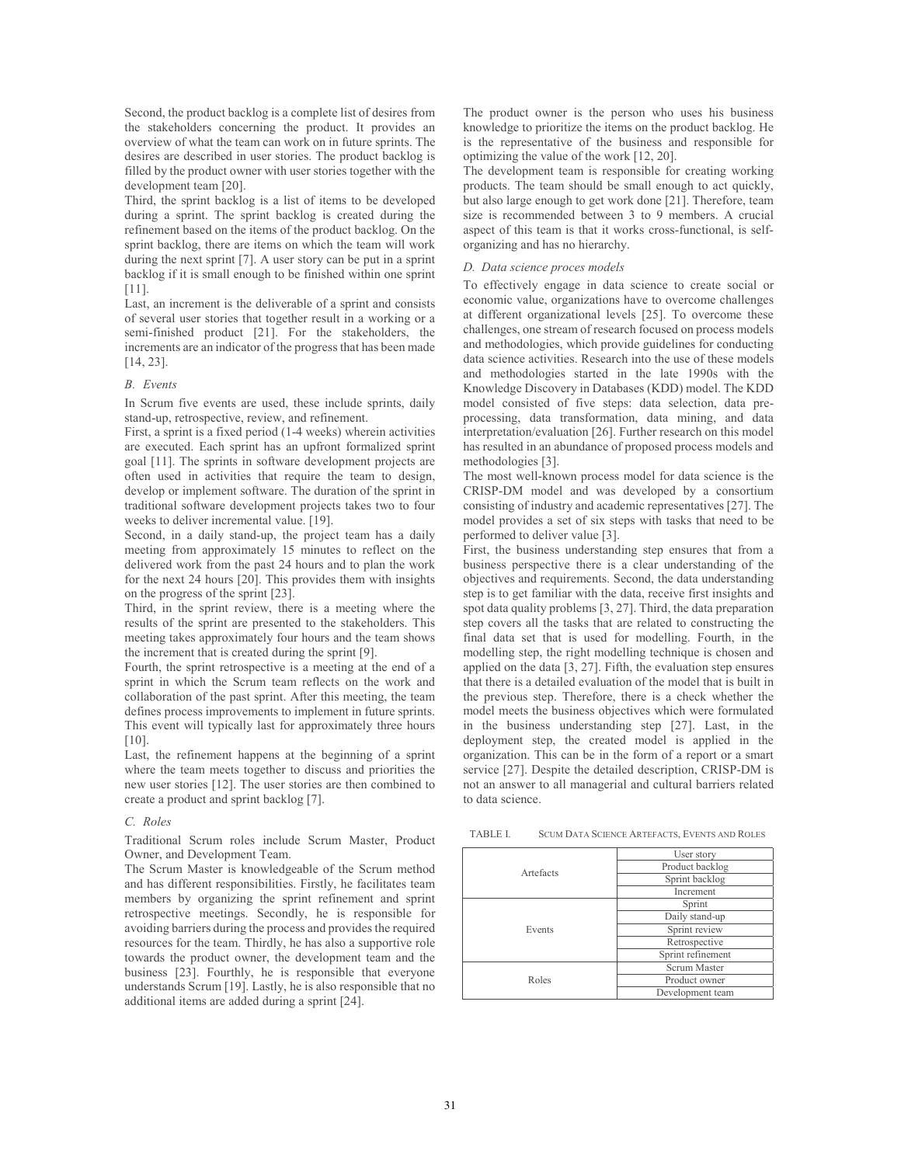Second, the product backlog is a complete list of desires from the stakeholders concerning the product. It provides an overview of what the team can work on in future sprints. The desires are described in user stories. The product backlog is filled by the product owner with user stories together with the development team [20].

Third, the sprint backlog is a list of items to be developed during a sprint. The sprint backlog is created during the refinement based on the items of the product backlog. On the sprint backlog, there are items on which the team will work during the next sprint [7]. A user story can be put in a sprint backlog if it is small enough to be finished within one sprint [11].

Last, an increment is the deliverable of a sprint and consists of several user stories that together result in a working or a semi-finished product [21]. For the stakeholders, the increments are an indicator of the progress that has been made [14, 23].

### *B. Events*

In Scrum five events are used, these include sprints, daily stand-up, retrospective, review, and refinement.

First, a sprint is a fixed period (1-4 weeks) wherein activities are executed. Each sprint has an upfront formalized sprint goal [11]. The sprints in software development projects are often used in activities that require the team to design, develop or implement software. The duration of the sprint in traditional software development projects takes two to four weeks to deliver incremental value. [19].

Second, in a daily stand-up, the project team has a daily meeting from approximately 15 minutes to reflect on the delivered work from the past 24 hours and to plan the work for the next 24 hours [20]. This provides them with insights on the progress of the sprint [23].

Third, in the sprint review, there is a meeting where the results of the sprint are presented to the stakeholders. This meeting takes approximately four hours and the team shows the increment that is created during the sprint [9].

Fourth, the sprint retrospective is a meeting at the end of a sprint in which the Scrum team reflects on the work and collaboration of the past sprint. After this meeting, the team defines process improvements to implement in future sprints. This event will typically last for approximately three hours [10].

Last, the refinement happens at the beginning of a sprint where the team meets together to discuss and priorities the new user stories [12]. The user stories are then combined to create a product and sprint backlog [7].

## *C. Roles*

Traditional Scrum roles include Scrum Master, Product Owner, and Development Team.

The Scrum Master is knowledgeable of the Scrum method and has different responsibilities. Firstly, he facilitates team members by organizing the sprint refinement and sprint retrospective meetings. Secondly, he is responsible for avoiding barriers during the process and provides the required resources for the team. Thirdly, he has also a supportive role towards the product owner, the development team and the business [23]. Fourthly, he is responsible that everyone understands Scrum [19]. Lastly, he is also responsible that no additional items are added during a sprint [24].

The product owner is the person who uses his business knowledge to prioritize the items on the product backlog. He is the representative of the business and responsible for optimizing the value of the work [12, 20].

The development team is responsible for creating working products. The team should be small enough to act quickly, but also large enough to get work done [21]. Therefore, team size is recommended between 3 to 9 members. A crucial aspect of this team is that it works cross-functional, is selforganizing and has no hierarchy.

#### *D. Data science proces models*

To effectively engage in data science to create social or economic value, organizations have to overcome challenges at different organizational levels [25]. To overcome these challenges, one stream of research focused on process models and methodologies, which provide guidelines for conducting data science activities. Research into the use of these models and methodologies started in the late 1990s with the Knowledge Discovery in Databases (KDD) model. The KDD model consisted of five steps: data selection, data preprocessing, data transformation, data mining, and data interpretation/evaluation [26]. Further research on this model has resulted in an abundance of proposed process models and methodologies [3].

The most well-known process model for data science is the CRISP-DM model and was developed by a consortium consisting of industry and academic representatives [27]. The model provides a set of six steps with tasks that need to be performed to deliver value [3].

First, the business understanding step ensures that from a business perspective there is a clear understanding of the objectives and requirements. Second, the data understanding step is to get familiar with the data, receive first insights and spot data quality problems [3, 27]. Third, the data preparation step covers all the tasks that are related to constructing the final data set that is used for modelling. Fourth, in the modelling step, the right modelling technique is chosen and applied on the data [3, 27]. Fifth, the evaluation step ensures that there is a detailed evaluation of the model that is built in the previous step. Therefore, there is a check whether the model meets the business objectives which were formulated in the business understanding step [27]. Last, in the deployment step, the created model is applied in the organization. This can be in the form of a report or a smart service [27]. Despite the detailed description, CRISP-DM is not an answer to all managerial and cultural barriers related to data science.

TABLE I. SCUM DATA SCIENCE ARTEFACTS, EVENTS AND ROLES

| Artefacts | User story        |  |  |
|-----------|-------------------|--|--|
|           | Product backlog   |  |  |
|           | Sprint backlog    |  |  |
|           | Increment         |  |  |
| Events    | Sprint            |  |  |
|           | Daily stand-up    |  |  |
|           | Sprint review     |  |  |
|           | Retrospective     |  |  |
|           | Sprint refinement |  |  |
| Roles     | Scrum Master      |  |  |
|           | Product owner     |  |  |
|           | Development team  |  |  |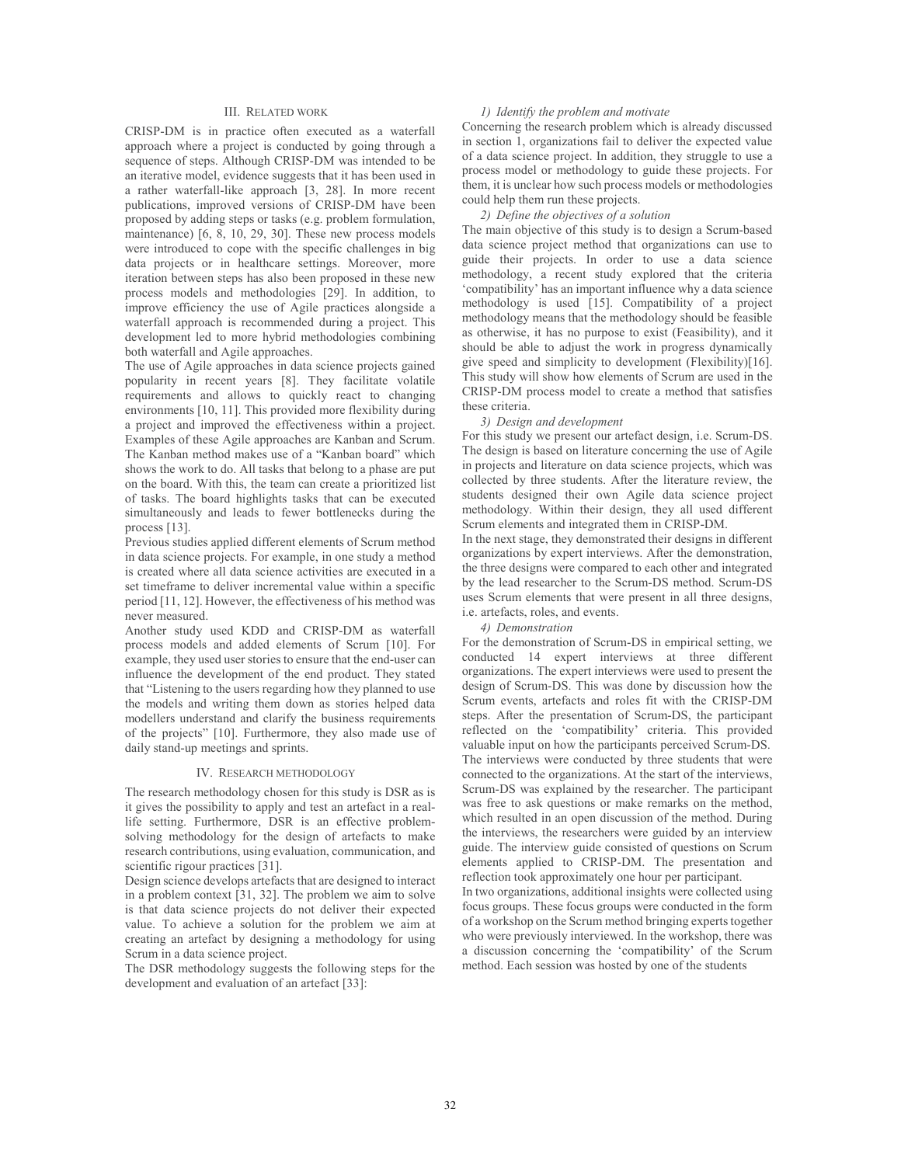#### III. RELATED WORK

CRISP-DM is in practice often executed as a waterfall approach where a project is conducted by going through a sequence of steps. Although CRISP-DM was intended to be an iterative model, evidence suggests that it has been used in a rather waterfall-like approach [3, 28]. In more recent publications, improved versions of CRISP-DM have been proposed by adding steps or tasks (e.g. problem formulation, maintenance) [6, 8, 10, 29, 30]. These new process models were introduced to cope with the specific challenges in big data projects or in healthcare settings. Moreover, more iteration between steps has also been proposed in these new process models and methodologies [29]. In addition, to improve efficiency the use of Agile practices alongside a waterfall approach is recommended during a project. This development led to more hybrid methodologies combining both waterfall and Agile approaches.

The use of Agile approaches in data science projects gained popularity in recent years [8]. They facilitate volatile requirements and allows to quickly react to changing environments [10, 11]. This provided more flexibility during a project and improved the effectiveness within a project. Examples of these Agile approaches are Kanban and Scrum. The Kanban method makes use of a "Kanban board" which shows the work to do. All tasks that belong to a phase are put on the board. With this, the team can create a prioritized list of tasks. The board highlights tasks that can be executed simultaneously and leads to fewer bottlenecks during the process [13].

Previous studies applied different elements of Scrum method in data science projects. For example, in one study a method is created where all data science activities are executed in a set timeframe to deliver incremental value within a specific period [11, 12]. However, the effectiveness of his method was never measured.

Another study used KDD and CRISP-DM as waterfall process models and added elements of Scrum [10]. For example, they used user stories to ensure that the end-user can influence the development of the end product. They stated that "Listening to the users regarding how they planned to use the models and writing them down as stories helped data modellers understand and clarify the business requirements of the projects" [10]. Furthermore, they also made use of daily stand-up meetings and sprints.

#### IV. RESEARCH METHODOLOGY

The research methodology chosen for this study is DSR as is it gives the possibility to apply and test an artefact in a reallife setting. Furthermore, DSR is an effective problemsolving methodology for the design of artefacts to make research contributions, using evaluation, communication, and scientific rigour practices [31].

Design science develops artefacts that are designed to interact in a problem context [31, 32]. The problem we aim to solve is that data science projects do not deliver their expected value. To achieve a solution for the problem we aim at creating an artefact by designing a methodology for using Scrum in a data science project.

The DSR methodology suggests the following steps for the development and evaluation of an artefact [33]:

#### *1) Identify the problem and motivate*

Concerning the research problem which is already discussed in section 1, organizations fail to deliver the expected value of a data science project. In addition, they struggle to use a process model or methodology to guide these projects. For them, it is unclear how such process models or methodologies could help them run these projects.

### *2) Define the objectives of a solution*

The main objective of this study is to design a Scrum-based data science project method that organizations can use to guide their projects. In order to use a data science methodology, a recent study explored that the criteria 'compatibility' has an important influence why a data science methodology is used [15]. Compatibility of a project methodology means that the methodology should be feasible as otherwise, it has no purpose to exist (Feasibility), and it should be able to adjust the work in progress dynamically give speed and simplicity to development (Flexibility)[16]. This study will show how elements of Scrum are used in the CRISP-DM process model to create a method that satisfies these criteria.

#### *3) Design and development*

For this study we present our artefact design, i.e. Scrum-DS. The design is based on literature concerning the use of Agile in projects and literature on data science projects, which was collected by three students. After the literature review, the students designed their own Agile data science project methodology. Within their design, they all used different Scrum elements and integrated them in CRISP-DM.

In the next stage, they demonstrated their designs in different organizations by expert interviews. After the demonstration, the three designs were compared to each other and integrated by the lead researcher to the Scrum-DS method. Scrum-DS uses Scrum elements that were present in all three designs, i.e. artefacts, roles, and events.

#### *4) Demonstration*

For the demonstration of Scrum-DS in empirical setting, we conducted 14 expert interviews at three different organizations. The expert interviews were used to present the design of Scrum-DS. This was done by discussion how the Scrum events, artefacts and roles fit with the CRISP-DM steps. After the presentation of Scrum-DS, the participant reflected on the 'compatibility' criteria. This provided valuable input on how the participants perceived Scrum-DS. The interviews were conducted by three students that were connected to the organizations. At the start of the interviews, Scrum-DS was explained by the researcher. The participant was free to ask questions or make remarks on the method, which resulted in an open discussion of the method. During the interviews, the researchers were guided by an interview guide. The interview guide consisted of questions on Scrum elements applied to CRISP-DM. The presentation and reflection took approximately one hour per participant.

In two organizations, additional insights were collected using focus groups. These focus groups were conducted in the form of a workshop on the Scrum method bringing experts together who were previously interviewed. In the workshop, there was a discussion concerning the 'compatibility' of the Scrum method. Each session was hosted by one of the students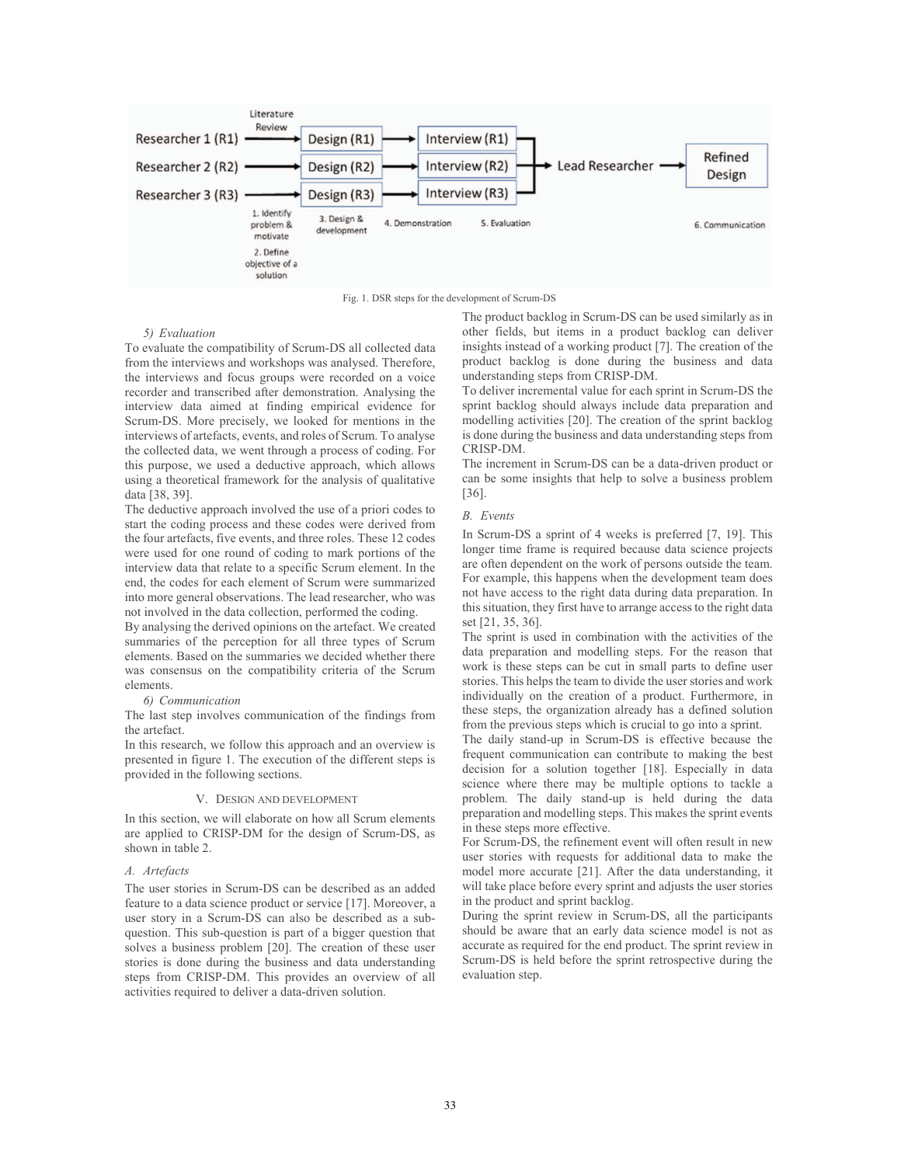

Fig. 1. DSR steps for the development of Scrum-DS

#### *5) Evaluation*

To evaluate the compatibility of Scrum-DS all collected data from the interviews and workshops was analysed. Therefore, the interviews and focus groups were recorded on a voice recorder and transcribed after demonstration. Analysing the interview data aimed at finding empirical evidence for Scrum-DS. More precisely, we looked for mentions in the interviews of artefacts, events, and roles of Scrum. To analyse the collected data, we went through a process of coding. For this purpose, we used a deductive approach, which allows using a theoretical framework for the analysis of qualitative data [38, 39].

The deductive approach involved the use of a priori codes to start the coding process and these codes were derived from the four artefacts, five events, and three roles. These 12 codes were used for one round of coding to mark portions of the interview data that relate to a specific Scrum element. In the end, the codes for each element of Scrum were summarized into more general observations. The lead researcher, who was not involved in the data collection, performed the coding.

By analysing the derived opinions on the artefact. We created summaries of the perception for all three types of Scrum elements. Based on the summaries we decided whether there was consensus on the compatibility criteria of the Scrum elements.

#### *6) Communication*

The last step involves communication of the findings from the artefact.

In this research, we follow this approach and an overview is presented in figure 1. The execution of the different steps is provided in the following sections.

#### V. DESIGN AND DEVELOPMENT

In this section, we will elaborate on how all Scrum elements are applied to CRISP-DM for the design of Scrum-DS, as shown in table 2.

#### *A. Artefacts*

The user stories in Scrum-DS can be described as an added feature to a data science product or service [17]. Moreover, a user story in a Scrum-DS can also be described as a subquestion. This sub-question is part of a bigger question that solves a business problem [20]. The creation of these user stories is done during the business and data understanding steps from CRISP-DM. This provides an overview of all activities required to deliver a data-driven solution.

The product backlog in Scrum-DS can be used similarly as in other fields, but items in a product backlog can deliver insights instead of a working product [7]. The creation of the product backlog is done during the business and data understanding steps from CRISP-DM.

To deliver incremental value for each sprint in Scrum-DS the sprint backlog should always include data preparation and modelling activities [20]. The creation of the sprint backlog is done during the business and data understanding steps from CRISP-DM.

The increment in Scrum-DS can be a data-driven product or can be some insights that help to solve a business problem [36].

#### *B. Events*

In Scrum-DS a sprint of 4 weeks is preferred [7, 19]. This longer time frame is required because data science projects are often dependent on the work of persons outside the team. For example, this happens when the development team does not have access to the right data during data preparation. In this situation, they first have to arrange access to the right data set [21, 35, 36].

The sprint is used in combination with the activities of the data preparation and modelling steps. For the reason that work is these steps can be cut in small parts to define user stories. This helps the team to divide the user stories and work individually on the creation of a product. Furthermore, in these steps, the organization already has a defined solution from the previous steps which is crucial to go into a sprint.

The daily stand-up in Scrum-DS is effective because the frequent communication can contribute to making the best decision for a solution together [18]. Especially in data science where there may be multiple options to tackle a problem. The daily stand-up is held during the data preparation and modelling steps. This makes the sprint events in these steps more effective.

For Scrum-DS, the refinement event will often result in new user stories with requests for additional data to make the model more accurate [21]. After the data understanding, it will take place before every sprint and adjusts the user stories in the product and sprint backlog.

During the sprint review in Scrum-DS, all the participants should be aware that an early data science model is not as accurate as required for the end product. The sprint review in Scrum-DS is held before the sprint retrospective during the evaluation step.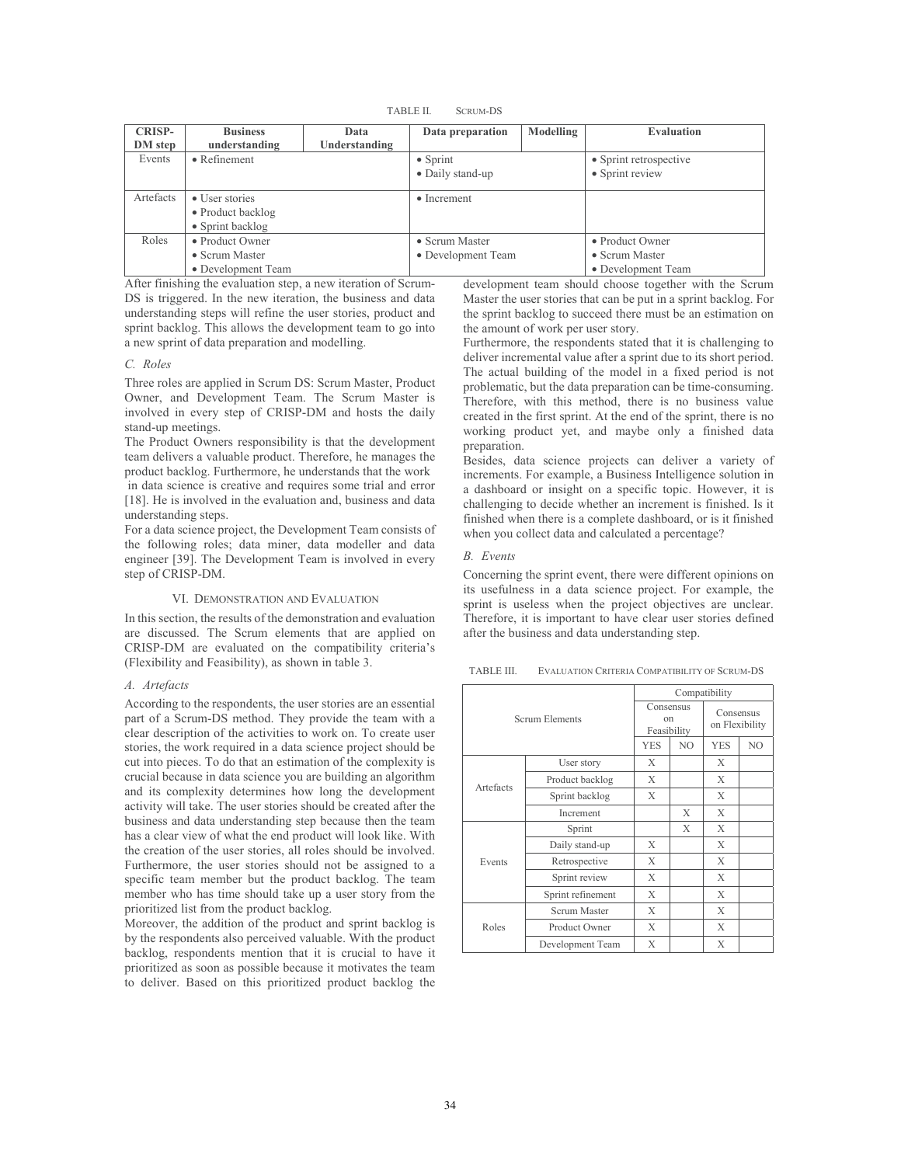TABLE II. SCRUM-DS

| <b>CRISP-</b><br>DM step | <b>Business</b><br>understanding                                | Data<br>Understanding | Data preparation                     | Modelling | <b>Evaluation</b>                                       |  |
|--------------------------|-----------------------------------------------------------------|-----------------------|--------------------------------------|-----------|---------------------------------------------------------|--|
| Events                   | $\bullet$ Refinement                                            |                       | $\bullet$ Sprint<br>• Daily stand-up |           | • Sprint retrospective<br>• Sprint review               |  |
| Artefacts                | • User stories<br>• Product backlog<br>$\bullet$ Sprint backlog |                       | $\bullet$ Increment                  |           |                                                         |  |
| Roles                    | • Product Owner<br>• Scrum Master<br>• Development Team         |                       | • Scrum Master<br>• Development Team |           | • Product Owner<br>• Scrum Master<br>• Development Team |  |

After finishing the evaluation step, a new iteration of Scrum-DS is triggered. In the new iteration, the business and data understanding steps will refine the user stories, product and sprint backlog. This allows the development team to go into a new sprint of data preparation and modelling.

### *C. Roles*

Three roles are applied in Scrum DS: Scrum Master, Product Owner, and Development Team. The Scrum Master is involved in every step of CRISP-DM and hosts the daily stand-up meetings.

The Product Owners responsibility is that the development team delivers a valuable product. Therefore, he manages the product backlog. Furthermore, he understands that the work

 in data science is creative and requires some trial and error [18]. He is involved in the evaluation and, business and data understanding steps.

For a data science project, the Development Team consists of the following roles; data miner, data modeller and data engineer [39]. The Development Team is involved in every step of CRISP-DM.

#### VI. DEMONSTRATION AND EVALUATION

In this section, the results of the demonstration and evaluation are discussed. The Scrum elements that are applied on CRISP-DM are evaluated on the compatibility criteria's (Flexibility and Feasibility), as shown in table 3.

#### *A. Artefacts*

According to the respondents, the user stories are an essential part of a Scrum-DS method. They provide the team with a clear description of the activities to work on. To create user stories, the work required in a data science project should be cut into pieces. To do that an estimation of the complexity is crucial because in data science you are building an algorithm and its complexity determines how long the development activity will take. The user stories should be created after the business and data understanding step because then the team has a clear view of what the end product will look like. With the creation of the user stories, all roles should be involved. Furthermore, the user stories should not be assigned to a specific team member but the product backlog. The team member who has time should take up a user story from the prioritized list from the product backlog.

Moreover, the addition of the product and sprint backlog is by the respondents also perceived valuable. With the product backlog, respondents mention that it is crucial to have it prioritized as soon as possible because it motivates the team to deliver. Based on this prioritized product backlog the

development team should choose together with the Scrum Master the user stories that can be put in a sprint backlog. For the sprint backlog to succeed there must be an estimation on the amount of work per user story.

Furthermore, the respondents stated that it is challenging to deliver incremental value after a sprint due to its short period. The actual building of the model in a fixed period is not problematic, but the data preparation can be time-consuming. Therefore, with this method, there is no business value created in the first sprint. At the end of the sprint, there is no working product yet, and maybe only a finished data preparation.

Besides, data science projects can deliver a variety of increments. For example, a Business Intelligence solution in a dashboard or insight on a specific topic. However, it is challenging to decide whether an increment is finished. Is it finished when there is a complete dashboard, or is it finished when you collect data and calculated a percentage?

#### *B. Events*

Concerning the sprint event, there were different opinions on its usefulness in a data science project. For example, the sprint is useless when the project objectives are unclear. Therefore, it is important to have clear user stories defined after the business and data understanding step.

TABLE III. EVALUATION CRITERIA COMPATIBILITY OF SCRUM-DS

| <b>Scrum Elements</b> |                   | Compatibility                  |                |                             |                |
|-----------------------|-------------------|--------------------------------|----------------|-----------------------------|----------------|
|                       |                   | Consensus<br>on<br>Feasibility |                | Consensus<br>on Flexibility |                |
|                       |                   | <b>YES</b>                     | N <sub>O</sub> | <b>YES</b>                  | N <sub>O</sub> |
| Artefacts             | User story        | X                              |                | X                           |                |
|                       | Product backlog   | X                              |                | X                           |                |
|                       | Sprint backlog    | X                              |                | X                           |                |
|                       | Increment         |                                | X              | X                           |                |
| Events                | Sprint            |                                | X              | X                           |                |
|                       | Daily stand-up    | X                              |                | X                           |                |
|                       | Retrospective     | X                              |                | X                           |                |
|                       | Sprint review     | X                              |                | X                           |                |
|                       | Sprint refinement | X                              |                | X                           |                |
| Roles                 | Scrum Master      | X                              |                | X                           |                |
|                       | Product Owner     | X                              |                | X                           |                |
|                       | Development Team  | X                              |                | X                           |                |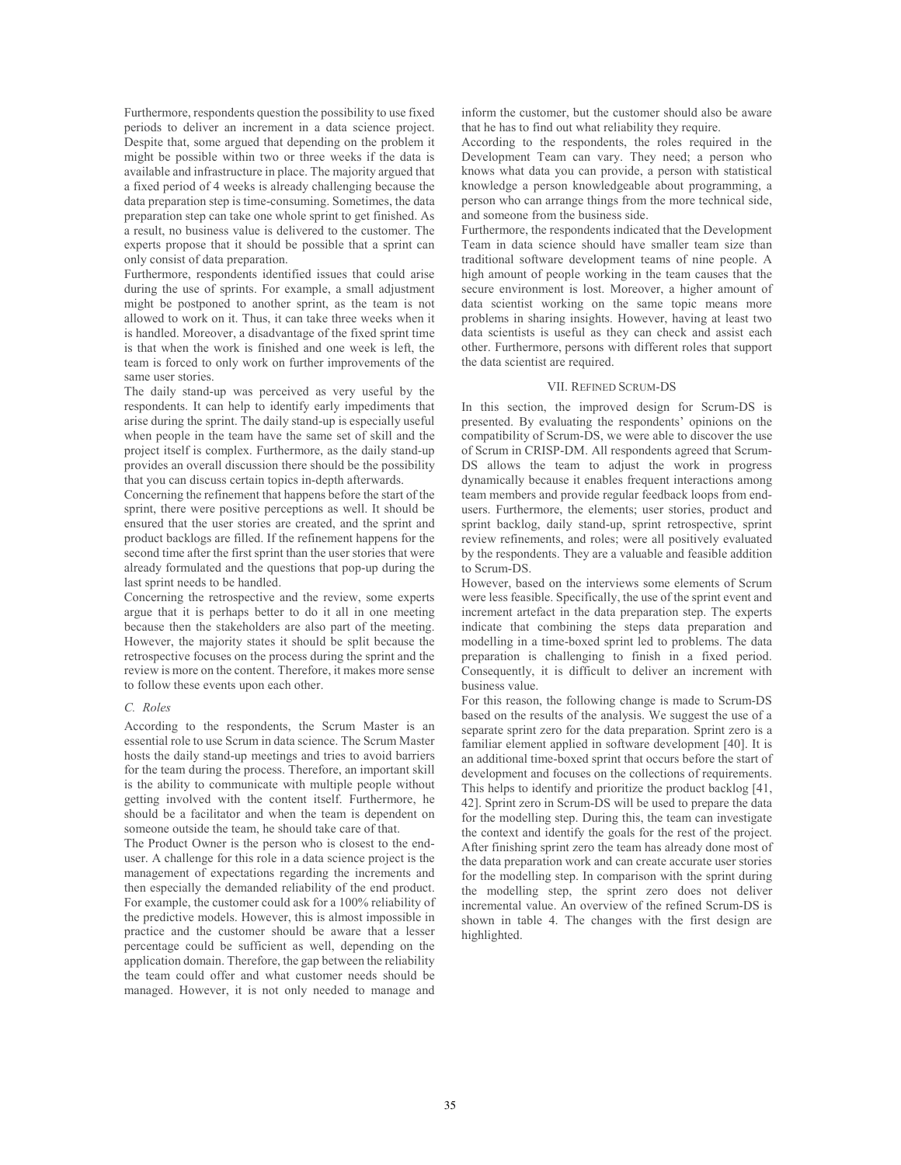Furthermore, respondents question the possibility to use fixed periods to deliver an increment in a data science project. Despite that, some argued that depending on the problem it might be possible within two or three weeks if the data is available and infrastructure in place. The majority argued that a fixed period of 4 weeks is already challenging because the data preparation step is time-consuming. Sometimes, the data preparation step can take one whole sprint to get finished. As a result, no business value is delivered to the customer. The experts propose that it should be possible that a sprint can only consist of data preparation.

Furthermore, respondents identified issues that could arise during the use of sprints. For example, a small adjustment might be postponed to another sprint, as the team is not allowed to work on it. Thus, it can take three weeks when it is handled. Moreover, a disadvantage of the fixed sprint time is that when the work is finished and one week is left, the team is forced to only work on further improvements of the same user stories.

The daily stand-up was perceived as very useful by the respondents. It can help to identify early impediments that arise during the sprint. The daily stand-up is especially useful when people in the team have the same set of skill and the project itself is complex. Furthermore, as the daily stand-up provides an overall discussion there should be the possibility that you can discuss certain topics in-depth afterwards.

Concerning the refinement that happens before the start of the sprint, there were positive perceptions as well. It should be ensured that the user stories are created, and the sprint and product backlogs are filled. If the refinement happens for the second time after the first sprint than the user stories that were already formulated and the questions that pop-up during the last sprint needs to be handled.

Concerning the retrospective and the review, some experts argue that it is perhaps better to do it all in one meeting because then the stakeholders are also part of the meeting. However, the majority states it should be split because the retrospective focuses on the process during the sprint and the review is more on the content. Therefore, it makes more sense to follow these events upon each other.

#### *C. Roles*

According to the respondents, the Scrum Master is an essential role to use Scrum in data science. The Scrum Master hosts the daily stand-up meetings and tries to avoid barriers for the team during the process. Therefore, an important skill is the ability to communicate with multiple people without getting involved with the content itself. Furthermore, he should be a facilitator and when the team is dependent on someone outside the team, he should take care of that.

The Product Owner is the person who is closest to the enduser. A challenge for this role in a data science project is the management of expectations regarding the increments and then especially the demanded reliability of the end product. For example, the customer could ask for a 100% reliability of the predictive models. However, this is almost impossible in practice and the customer should be aware that a lesser percentage could be sufficient as well, depending on the application domain. Therefore, the gap between the reliability the team could offer and what customer needs should be managed. However, it is not only needed to manage and

inform the customer, but the customer should also be aware that he has to find out what reliability they require.

According to the respondents, the roles required in the Development Team can vary. They need; a person who knows what data you can provide, a person with statistical knowledge a person knowledgeable about programming, a person who can arrange things from the more technical side, and someone from the business side.

Furthermore, the respondents indicated that the Development Team in data science should have smaller team size than traditional software development teams of nine people. A high amount of people working in the team causes that the secure environment is lost. Moreover, a higher amount of data scientist working on the same topic means more problems in sharing insights. However, having at least two data scientists is useful as they can check and assist each other. Furthermore, persons with different roles that support the data scientist are required.

#### VII. REFINED SCRUM-DS

In this section, the improved design for Scrum-DS is presented. By evaluating the respondents' opinions on the compatibility of Scrum-DS, we were able to discover the use of Scrum in CRISP-DM. All respondents agreed that Scrum-DS allows the team to adjust the work in progress dynamically because it enables frequent interactions among team members and provide regular feedback loops from endusers. Furthermore, the elements; user stories, product and sprint backlog, daily stand-up, sprint retrospective, sprint review refinements, and roles; were all positively evaluated by the respondents. They are a valuable and feasible addition to Scrum-DS.

However, based on the interviews some elements of Scrum were less feasible. Specifically, the use of the sprint event and increment artefact in the data preparation step. The experts indicate that combining the steps data preparation and modelling in a time-boxed sprint led to problems. The data preparation is challenging to finish in a fixed period. Consequently, it is difficult to deliver an increment with business value.

For this reason, the following change is made to Scrum-DS based on the results of the analysis. We suggest the use of a separate sprint zero for the data preparation. Sprint zero is a familiar element applied in software development [40]. It is an additional time-boxed sprint that occurs before the start of development and focuses on the collections of requirements. This helps to identify and prioritize the product backlog [41, 42]. Sprint zero in Scrum-DS will be used to prepare the data for the modelling step. During this, the team can investigate the context and identify the goals for the rest of the project. After finishing sprint zero the team has already done most of the data preparation work and can create accurate user stories for the modelling step. In comparison with the sprint during the modelling step, the sprint zero does not deliver incremental value. An overview of the refined Scrum-DS is shown in table 4. The changes with the first design are highlighted.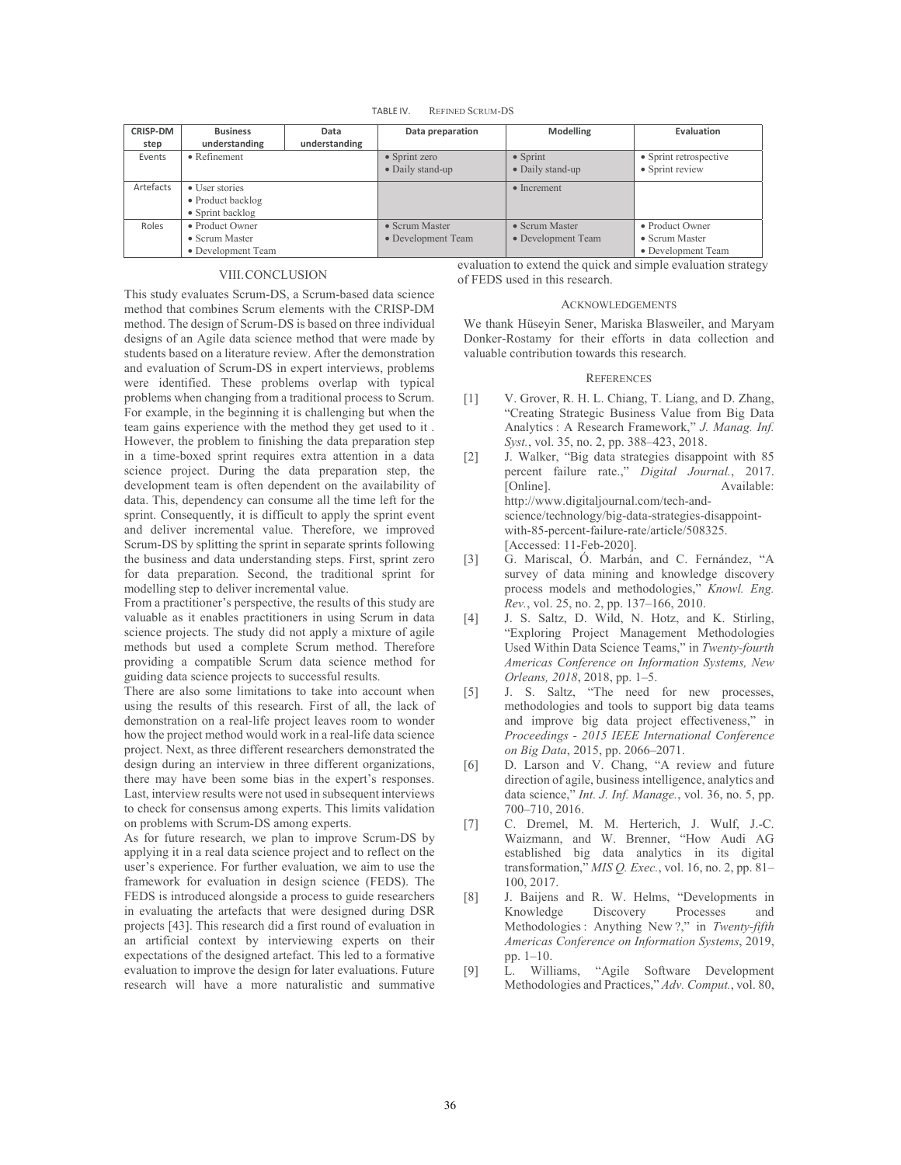TABLE IV. REFINED SCRUM-DS

| <b>CRISP-DM</b><br>step | <b>Business</b><br>understanding | Data<br>understanding | Data preparation      | <b>Modelling</b>       | Evaluation             |
|-------------------------|----------------------------------|-----------------------|-----------------------|------------------------|------------------------|
| Events                  | $\bullet$ Refinement             |                       | $\bullet$ Sprint zero | $\bullet$ Sprint       | • Sprint retrospective |
|                         |                                  |                       |                       |                        |                        |
|                         |                                  |                       | • Daily stand-up      | • Daily stand-up       | • Sprint review        |
| Artefacts               | • User stories                   |                       |                       | $\bullet$ Increment    |                        |
|                         | • Product backlog                |                       |                       |                        |                        |
|                         | $\bullet$ Sprint backlog         |                       |                       |                        |                        |
| Roles                   | • Product Owner                  |                       | • Scrum Master        | $\bullet$ Scrum Master | • Product Owner        |
|                         | • Scrum Master                   |                       | • Development Team    | • Development Team     | • Scrum Master         |
|                         | • Development Team               |                       |                       |                        | • Development Team     |

#### VIII.CONCLUSION

evaluation to extend the quick and simple evaluation strategy of FEDS used in this research.

### This study evaluates Scrum-DS, a Scrum-based data science method that combines Scrum elements with the CRISP-DM method. The design of Scrum-DS is based on three individual designs of an Agile data science method that were made by students based on a literature review. After the demonstration and evaluation of Scrum-DS in expert interviews, problems were identified. These problems overlap with typical problems when changing from a traditional process to Scrum. For example, in the beginning it is challenging but when the team gains experience with the method they get used to it . However, the problem to finishing the data preparation step in a time-boxed sprint requires extra attention in a data science project. During the data preparation step, the development team is often dependent on the availability of data. This, dependency can consume all the time left for the sprint. Consequently, it is difficult to apply the sprint event and deliver incremental value. Therefore, we improved Scrum-DS by splitting the sprint in separate sprints following the business and data understanding steps. First, sprint zero for data preparation. Second, the traditional sprint for modelling step to deliver incremental value.

From a practitioner's perspective, the results of this study are valuable as it enables practitioners in using Scrum in data science projects. The study did not apply a mixture of agile methods but used a complete Scrum method. Therefore providing a compatible Scrum data science method for guiding data science projects to successful results.

There are also some limitations to take into account when using the results of this research. First of all, the lack of demonstration on a real-life project leaves room to wonder how the project method would work in a real-life data science project. Next, as three different researchers demonstrated the design during an interview in three different organizations, there may have been some bias in the expert's responses. Last, interview results were not used in subsequent interviews to check for consensus among experts. This limits validation on problems with Scrum-DS among experts.

As for future research, we plan to improve Scrum-DS by applying it in a real data science project and to reflect on the user's experience. For further evaluation, we aim to use the framework for evaluation in design science (FEDS). The FEDS is introduced alongside a process to guide researchers in evaluating the artefacts that were designed during DSR projects [43]. This research did a first round of evaluation in an artificial context by interviewing experts on their expectations of the designed artefact. This led to a formative evaluation to improve the design for later evaluations. Future research will have a more naturalistic and summative

# **ACKNOWLEDGEMENTS**

We thank Hüseyin Sener, Mariska Blasweiler, and Maryam Donker-Rostamy for their efforts in data collection and valuable contribution towards this research.

#### **REFERENCES**

- [1] V. Grover, R. H. L. Chiang, T. Liang, and D. Zhang, "Creating Strategic Business Value from Big Data Analytics : A Research Framework," *J. Manag. Inf. Syst.*, vol. 35, no. 2, pp. 388–423, 2018.
- [2] J. Walker, "Big data strategies disappoint with 85 percent failure rate.," *Digital Journal.*, 2017. [Online]. Available: http://www.digitaljournal.com/tech-andscience/technology/big-data-strategies-disappointwith-85-percent-failure-rate/article/508325. [Accessed: 11-Feb-2020].
- [3] G. Mariscal, Ó. Marbán, and C. Fernández, "A survey of data mining and knowledge discovery process models and methodologies," *Knowl. Eng. Rev.*, vol. 25, no. 2, pp. 137–166, 2010.
- [4] J. S. Saltz, D. Wild, N. Hotz, and K. Stirling, "Exploring Project Management Methodologies Used Within Data Science Teams," in *Twenty-fourth Americas Conference on Information Systems, New Orleans, 2018*, 2018, pp. 1–5.
- [5] J. S. Saltz, "The need for new processes, methodologies and tools to support big data teams and improve big data project effectiveness," in *Proceedings - 2015 IEEE International Conference on Big Data*, 2015, pp. 2066–2071.
- [6] D. Larson and V. Chang, "A review and future direction of agile, business intelligence, analytics and data science," *Int. J. Inf. Manage.*, vol. 36, no. 5, pp. 700–710, 2016.
- [7] C. Dremel, M. M. Herterich, J. Wulf, J.-C. Waizmann, and W. Brenner, "How Audi AG established big data analytics in its digital transformation," *MIS Q. Exec.*, vol. 16, no. 2, pp. 81– 100, 2017.
- [8] J. Baijens and R. W. Helms, "Developments in Knowledge Discovery Processes and Methodologies : Anything New ?," in *Twenty-fifth Americas Conference on Information Systems*, 2019, pp. 1–10.
- [9] L. Williams, "Agile Software Development Methodologies and Practices," *Adv. Comput.*, vol. 80,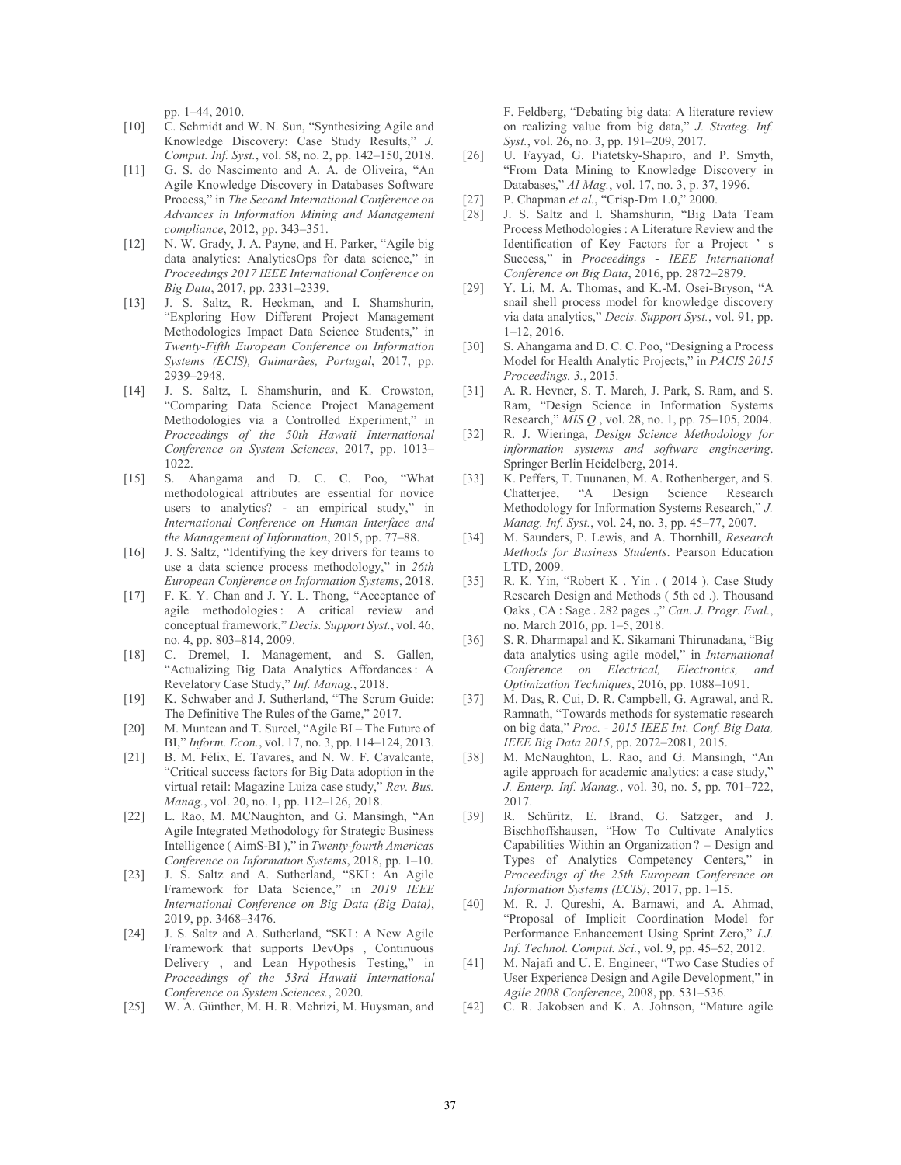pp. 1–44, 2010.

- [10] C. Schmidt and W. N. Sun, "Synthesizing Agile and Knowledge Discovery: Case Study Results," *J. Comput. Inf. Syst.*, vol. 58, no. 2, pp. 142–150, 2018.
- [11] G. S. do Nascimento and A. A. de Oliveira, "An Agile Knowledge Discovery in Databases Software Process," in *The Second International Conference on Advances in Information Mining and Management compliance*, 2012, pp. 343–351.
- [12] N. W. Grady, J. A. Payne, and H. Parker, "Agile big data analytics: AnalyticsOps for data science," in *Proceedings 2017 IEEE International Conference on Big Data*, 2017, pp. 2331–2339.
- [13] J. S. Saltz, R. Heckman, and I. Shamshurin, "Exploring How Different Project Management Methodologies Impact Data Science Students," in *Twenty-Fifth European Conference on Information Systems (ECIS), Guimarães, Portugal*, 2017, pp. 2939–2948.
- [14] J. S. Saltz, I. Shamshurin, and K. Crowston, "Comparing Data Science Project Management Methodologies via a Controlled Experiment," in *Proceedings of the 50th Hawaii International Conference on System Sciences*, 2017, pp. 1013– 1022.
- [15] S. Ahangama and D. C. C. Poo, "What methodological attributes are essential for novice users to analytics? - an empirical study," in *International Conference on Human Interface and the Management of Information*, 2015, pp. 77–88.
- [16] J. S. Saltz, "Identifying the key drivers for teams to use a data science process methodology," in *26th European Conference on Information Systems*, 2018.
- [17] F. K. Y. Chan and J. Y. L. Thong, "Acceptance of agile methodologies : A critical review and conceptual framework," *Decis. Support Syst.*, vol. 46, no. 4, pp. 803–814, 2009.
- [18] C. Dremel, I. Management, and S. Gallen, "Actualizing Big Data Analytics Affordances: A Revelatory Case Study," *Inf. Manag.*, 2018.
- [19] K. Schwaber and J. Sutherland, "The Scrum Guide: The Definitive The Rules of the Game," 2017.
- [20] M. Muntean and T. Surcel, "Agile BI The Future of BI," *Inform. Econ.*, vol. 17, no. 3, pp. 114–124, 2013.
- [21] B. M. Félix, E. Tavares, and N. W. F. Cavalcante, "Critical success factors for Big Data adoption in the virtual retail: Magazine Luiza case study," *Rev. Bus. Manag.*, vol. 20, no. 1, pp. 112–126, 2018.
- [22] L. Rao, M. MCNaughton, and G. Mansingh, "An Agile Integrated Methodology for Strategic Business Intelligence ( AimS-BI )," in *Twenty-fourth Americas Conference on Information Systems*, 2018, pp. 1–10.
- [23] J. S. Saltz and A. Sutherland, "SKI: An Agile Framework for Data Science," in *2019 IEEE International Conference on Big Data (Big Data)*, 2019, pp. 3468–3476.
- [24] J. S. Saltz and A. Sutherland, "SKI : A New Agile Framework that supports DevOps , Continuous Delivery , and Lean Hypothesis Testing," in *Proceedings of the 53rd Hawaii International Conference on System Sciences.*, 2020.
- [25] W. A. Günther, M. H. R. Mehrizi, M. Huysman, and

F. Feldberg, "Debating big data: A literature review on realizing value from big data," *J. Strateg. Inf. Syst.*, vol. 26, no. 3, pp. 191–209, 2017.

- [26] U. Fayyad, G. Piatetsky-Shapiro, and P. Smyth, "From Data Mining to Knowledge Discovery in Databases," *AI Mag.*, vol. 17, no. 3, p. 37, 1996.
- [27] P. Chapman *et al.*, "Crisp-Dm 1.0," 2000.
- [28] J. S. Saltz and I. Shamshurin, "Big Data Team Process Methodologies : A Literature Review and the Identification of Key Factors for a Project ' s Success," in *Proceedings - IEEE International Conference on Big Data*, 2016, pp. 2872–2879.
- [29] Y. Li, M. A. Thomas, and K.-M. Osei-Bryson, "A snail shell process model for knowledge discovery via data analytics," *Decis. Support Syst.*, vol. 91, pp. 1–12, 2016.
- [30] S. Ahangama and D. C. C. Poo, "Designing a Process" Model for Health Analytic Projects," in *PACIS 2015 Proceedings. 3.*, 2015.
- [31] A. R. Hevner, S. T. March, J. Park, S. Ram, and S. Ram, "Design Science in Information Systems Research," *MIS Q.*, vol. 28, no. 1, pp. 75–105, 2004.
- [32] R. J. Wieringa, *Design Science Methodology for information systems and software engineering*. Springer Berlin Heidelberg, 2014.
- [33] K. Peffers, T. Tuunanen, M. A. Rothenberger, and S. Chatterjee, "A Design Science Research Methodology for Information Systems Research," *J. Manag. Inf. Syst.*, vol. 24, no. 3, pp. 45–77, 2007.
- [34] M. Saunders, P. Lewis, and A. Thornhill, *Research Methods for Business Students*. Pearson Education LTD, 2009.
- [35] R. K. Yin, "Robert K . Yin . ( 2014 ). Case Study Research Design and Methods ( 5th ed .). Thousand Oaks , CA : Sage . 282 pages .," *Can. J. Progr. Eval.*, no. March 2016, pp. 1–5, 2018.
- [36] S. R. Dharmapal and K. Sikamani Thirunadana, "Big data analytics using agile model," in *International Conference on Electrical, Electronics, and Optimization Techniques*, 2016, pp. 1088–1091.
- [37] M. Das, R. Cui, D. R. Campbell, G. Agrawal, and R. Ramnath, "Towards methods for systematic research on big data," *Proc. - 2015 IEEE Int. Conf. Big Data, IEEE Big Data 2015*, pp. 2072–2081, 2015.
- [38] M. McNaughton, L. Rao, and G. Mansingh, "An agile approach for academic analytics: a case study," *J. Enterp. Inf. Manag.*, vol. 30, no. 5, pp. 701–722, 2017.
- [39] R. Schüritz, E. Brand, G. Satzger, and J. Bischhoffshausen, "How To Cultivate Analytics Capabilities Within an Organization ? – Design and Types of Analytics Competency Centers," in *Proceedings of the 25th European Conference on Information Systems (ECIS)*, 2017, pp. 1–15.
- [40] M. R. J. Qureshi, A. Barnawi, and A. Ahmad, "Proposal of Implicit Coordination Model for Performance Enhancement Using Sprint Zero," *I.J. Inf. Technol. Comput. Sci.*, vol. 9, pp. 45–52, 2012.
- [41] M. Najafi and U. E. Engineer, "Two Case Studies of User Experience Design and Agile Development," in *Agile 2008 Conference*, 2008, pp. 531–536.
- [42] C. R. Jakobsen and K. A. Johnson, "Mature agile